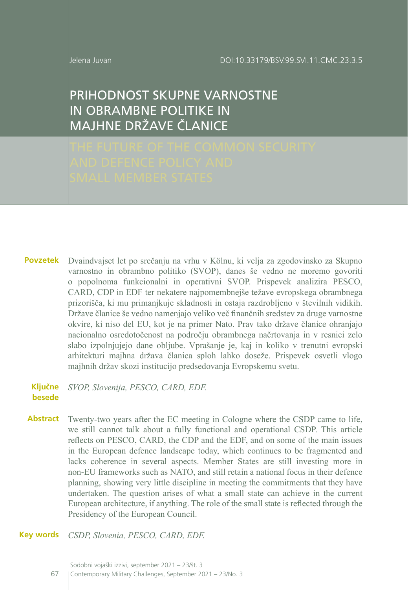Jelena Juvan

# PRIHODNOST SKUPNE VARNOSTNE IN OBRAMBNE POLITIKE IN MAJHNE DRŽAVE ČLANICE

Dvaindvajset let po srečanju na vrhu v Kölnu, ki velja za zgodovinsko za Skupno varnostno in obrambno politiko (SVOP), danes še vedno ne moremo govoriti o popolnoma funkcionalni in operativni SVOP. Prispevek analizira PESCO, CARD, CDP in EDF ter nekatere najpomembnejše težave evropskega obrambnega prizorišča, ki mu primanjkuje skladnosti in ostaja razdrobljeno v številnih vidikih. Države članice še vedno namenjajo veliko več finančnih sredstev za druge varnostne okvire, ki niso del EU, kot je na primer Nato. Prav tako države članice ohranjajo nacionalno osredotočenost na področju obrambnega načrtovanja in v resnici zelo slabo izpolnjujejo dane obljube. Vprašanje je, kaj in koliko v trenutni evropski arhitekturi majhna država članica sploh lahko doseže. Prispevek osvetli vlogo majhnih držav skozi institucijo predsedovanja Evropskemu svetu. **Povzetek**

*SVOP, Slovenija, PESCO, CARD, EDF.* **Ključne besede**

Twenty-two years after the EC meeting in Cologne where the CSDP came to life, we still cannot talk about a fully functional and operational CSDP. This article reflects on PESCO, CARD, the CDP and the EDF, and on some of the main issues in the European defence landscape today, which continues to be fragmented and lacks coherence in several aspects. Member States are still investing more in non-EU frameworks such as NATO, and still retain a national focus in their defence planning, showing very little discipline in meeting the commitments that they have undertaken. The question arises of what a small state can achieve in the current European architecture, if anything. The role of the small state is reflected through the Presidency of the European Council. **Abstract**

*CSDP, Slovenia, PESCO, CARD, EDF.* **Key words**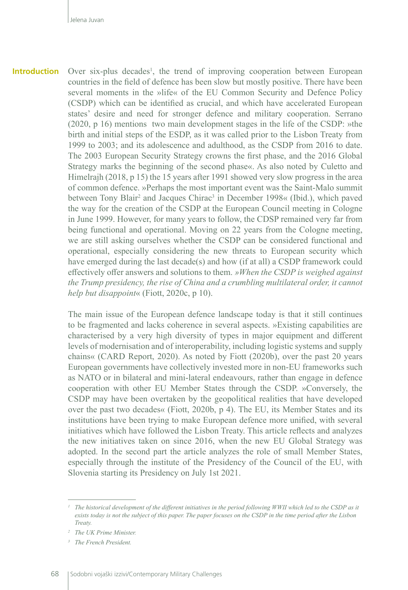Over six-plus decades<sup>1</sup>, the trend of improving cooperation between European countries in the field of defence has been slow but mostly positive. There have been several moments in the »life« of the EU Common Security and Defence Policy (CSDP) which can be identified as crucial, and which have accelerated European states' desire and need for stronger defence and military cooperation. Serrano (2020, p 16) mentions two main development stages in the life of the CSDP: »the birth and initial steps of the ESDP, as it was called prior to the Lisbon Treaty from 1999 to 2003; and its adolescence and adulthood, as the CSDP from 2016 to date. The 2003 European Security Strategy crowns the first phase, and the 2016 Global Strategy marks the beginning of the second phase«. As also noted by Culetto and Himelrajh (2018, p 15) the 15 years after 1991 showed very slow progress in the area of common defence. »Perhaps the most important event was the Saint-Malo summit between Tony Blair<sup>2</sup> and Jacques Chirac<sup>3</sup> in December 1998« (Ibid.), which paved the way for the creation of the CSDP at the European Council meeting in Cologne in June 1999. However, for many years to follow, the CDSP remained very far from being functional and operational. Moving on 22 years from the Cologne meeting, we are still asking ourselves whether the CSDP can be considered functional and operational, especially considering the new threats to European security which have emerged during the last decade(s) and how (if at all) a CSDP framework could effectively offer answers and solutions to them. *»When the CSDP is weighed against the Trump presidency, the rise of China and a crumbling multilateral order, it cannot help but disappoint*« (Fiott, 2020c, p 10). **Introduction**

> The main issue of the European defence landscape today is that it still continues to be fragmented and lacks coherence in several aspects. »Existing capabilities are characterised by a very high diversity of types in major equipment and different levels of modernisation and of interoperability, including logistic systems and supply chains« (CARD Report, 2020). As noted by Fiott (2020b), over the past 20 years European governments have collectively invested more in non-EU frameworks such as NATO or in bilateral and mini-lateral endeavours, rather than engage in defence cooperation with other EU Member States through the CSDP. »Conversely, the CSDP may have been overtaken by the geopolitical realities that have developed over the past two decades« (Fiott, 2020b, p 4). The EU, its Member States and its institutions have been trying to make European defence more unified, with several initiatives which have followed the Lisbon Treaty. This article reflects and analyzes the new initiatives taken on since 2016, when the new EU Global Strategy was adopted. In the second part the article analyzes the role of small Member States, especially through the institute of the Presidency of the Council of the EU, with Slovenia starting its Presidency on July 1st 2021.

<sup>&</sup>lt;sup>1</sup> The historical development of the different initiatives in the period following WWII which led to the CSDP as it *exists today is not the subject of this paper. The paper focuses on the CSDP in the time period after the Lisbon Treaty.*

*<sup>2</sup> The UK Prime Minister.*

*<sup>3</sup> The French President.*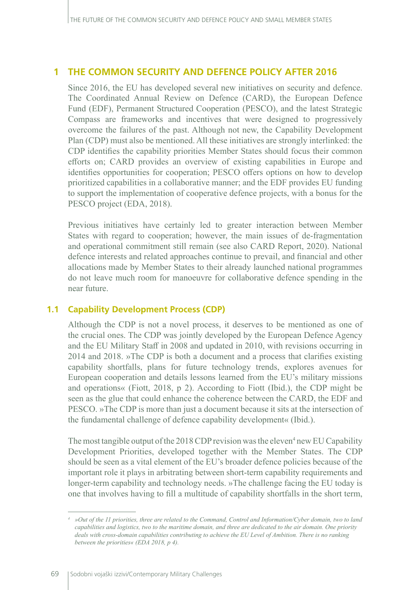## **1 THE COMMON SECURITY AND DEFENCE POLICY AFTER 2016**

Since 2016, the EU has developed several new initiatives on security and defence. The Coordinated Annual Review on Defence (CARD), the European Defence Fund (EDF), Permanent Structured Cooperation (PESCO), and the latest Strategic Compass are frameworks and incentives that were designed to progressively overcome the failures of the past. Although not new, the Capability Development Plan (CDP) must also be mentioned. All these initiatives are strongly interlinked: the CDP identifies the capability priorities Member States should focus their common efforts on; CARD provides an overview of existing capabilities in Europe and identifies opportunities for cooperation; PESCO offers options on how to develop prioritized capabilities in a collaborative manner; and the EDF provides EU funding to support the implementation of cooperative defence projects, with a bonus for the PESCO project (EDA, 2018).

Previous initiatives have certainly led to greater interaction between Member States with regard to cooperation; however, the main issues of de-fragmentation and operational commitment still remain (see also CARD Report, 2020). National defence interests and related approaches continue to prevail, and financial and other allocations made by Member States to their already launched national programmes do not leave much room for manoeuvre for collaborative defence spending in the near future.

## **1.1 Capability Development Process (CDP)**

Although the CDP is not a novel process, it deserves to be mentioned as one of the crucial ones. The CDP was jointly developed by the European Defence Agency and the EU Military Staff in 2008 and updated in 2010, with revisions occurring in 2014 and 2018. »The CDP is both a document and a process that clarifies existing capability shortfalls, plans for future technology trends, explores avenues for European cooperation and details lessons learned from the EU's military missions and operations« (Fiott, 2018, p 2). According to Fiott (Ibid.), the CDP might be seen as the glue that could enhance the coherence between the CARD, the EDF and PESCO. »The CDP is more than just a document because it sits at the intersection of the fundamental challenge of defence capability development« (Ibid.).

The most tangible output of the 2018 CDP revision was the eleven<sup>4</sup> new EU Capability Development Priorities, developed together with the Member States. The CDP should be seen as a vital element of the EU's broader defence policies because of the important role it plays in arbitrating between short-term capability requirements and longer-term capability and technology needs. »The challenge facing the EU today is one that involves having to fill a multitude of capability shortfalls in the short term,

*<sup>4</sup> »Out of the 11 priorities, three are related to the Command, Control and Information/Cyber domain, two to land capabilities and logistics, two to the maritime domain, and three are dedicated to the air domain. One priority deals with cross-domain capabilities contributing to achieve the EU Level of Ambition. There is no ranking between the priorities« (EDA 2018, p 4).*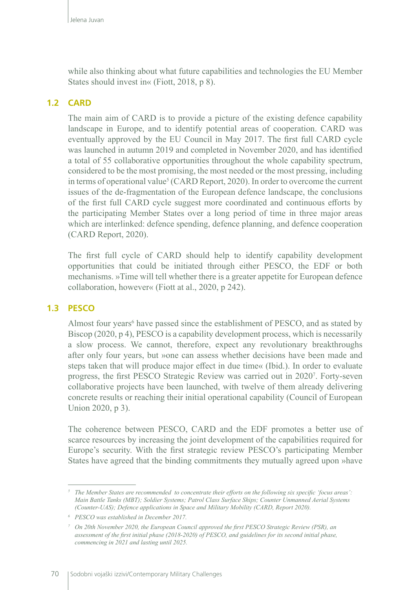while also thinking about what future capabilities and technologies the EU Member States should invest in« (Fiott, 2018, p 8).

## **1.2 CARD**

The main aim of CARD is to provide a picture of the existing defence capability landscape in Europe, and to identify potential areas of cooperation. CARD was eventually approved by the EU Council in May 2017. The first full CARD cycle was launched in autumn 2019 and completed in November 2020, and has identified a total of 55 collaborative opportunities throughout the whole capability spectrum, considered to be the most promising, the most needed or the most pressing, including in terms of operational value<sup>5</sup> (CARD Report, 2020). In order to overcome the current issues of the de-fragmentation of the European defence landscape, the conclusions of the first full CARD cycle suggest more coordinated and continuous efforts by the participating Member States over a long period of time in three major areas which are interlinked: defence spending, defence planning, and defence cooperation (CARD Report, 2020).

The first full cycle of CARD should help to identify capability development opportunities that could be initiated through either PESCO, the EDF or both mechanisms. »Time will tell whether there is a greater appetite for European defence collaboration, however« (Fiott at al., 2020, p 242).

### **1.3 PESCO**

Almost four years<sup>6</sup> have passed since the establishment of PESCO, and as stated by Biscop (2020, p 4), PESCO is a capability development process, which is necessarily a slow process. We cannot, therefore, expect any revolutionary breakthroughs after only four years, but »one can assess whether decisions have been made and steps taken that will produce major effect in due time« (Ibid.). In order to evaluate progress, the first PESCO Strategic Review was carried out in 20207 . Forty-seven collaborative projects have been launched, with twelve of them already delivering concrete results or reaching their initial operational capability (Council of European Union 2020, p 3).

The coherence between PESCO, CARD and the EDF promotes a better use of scarce resources by increasing the joint development of the capabilities required for Europe's security. With the first strategic review PESCO's participating Member States have agreed that the binding commitments they mutually agreed upon »have

*<sup>5</sup> The Member States are recommended to concentrate their efforts on the following six specific 'focus areas': Main Battle Tanks (MBT); Soldier Systems; Patrol Class Surface Ships; Counter Unmanned Aerial Systems (Counter-UAS); Defence applications in Space and Military Mobility (CARD, Report 2020).* 

*<sup>6</sup> PESCO was established in December 2017.*

*<sup>7</sup> On 20th November 2020, the European Council approved the first PESCO Strategic Review (PSR), an assessment of the first initial phase (2018-2020) of PESCO, and guidelines for its second initial phase, commencing in 2021 and lasting until 2025.*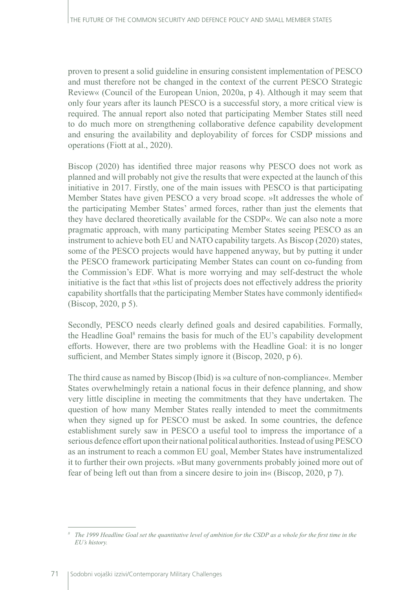proven to present a solid guideline in ensuring consistent implementation of PESCO and must therefore not be changed in the context of the current PESCO Strategic Review« (Council of the European Union, 2020a, p 4). Although it may seem that only four years after its launch PESCO is a successful story, a more critical view is required. The annual report also noted that participating Member States still need to do much more on strengthening collaborative defence capability development and ensuring the availability and deployability of forces for CSDP missions and operations (Fiott at al., 2020).

Biscop (2020) has identified three major reasons why PESCO does not work as planned and will probably not give the results that were expected at the launch of this initiative in 2017. Firstly, one of the main issues with PESCO is that participating Member States have given PESCO a very broad scope. »It addresses the whole of the participating Member States' armed forces, rather than just the elements that they have declared theoretically available for the CSDP«. We can also note a more pragmatic approach, with many participating Member States seeing PESCO as an instrument to achieve both EU and NATO capability targets. As Biscop (2020) states, some of the PESCO projects would have happened anyway, but by putting it under the PESCO framework participating Member States can count on co-funding from the Commission's EDF. What is more worrying and may self-destruct the whole initiative is the fact that »this list of projects does not effectively address the priority capability shortfalls that the participating Member States have commonly identified« (Biscop, 2020, p 5).

Secondly, PESCO needs clearly defined goals and desired capabilities. Formally, the Headline Goal<sup>8</sup> remains the basis for much of the EU's capability development efforts. However, there are two problems with the Headline Goal: it is no longer sufficient, and Member States simply ignore it (Biscop, 2020, p 6).

The third cause as named by Biscop (Ibid) is »a culture of non-compliance«. Member States overwhelmingly retain a national focus in their defence planning, and show very little discipline in meeting the commitments that they have undertaken. The question of how many Member States really intended to meet the commitments when they signed up for PESCO must be asked. In some countries, the defence establishment surely saw in PESCO a useful tool to impress the importance of a serious defence effort upon their national political authorities. Instead of using PESCO as an instrument to reach a common EU goal, Member States have instrumentalized it to further their own projects. »But many governments probably joined more out of fear of being left out than from a sincere desire to join in« (Biscop, 2020, p 7).

*<sup>8</sup> The 1999 Headline Goal set the quantitative level of ambition for the CSDP as a whole for the first time in the EU's history.*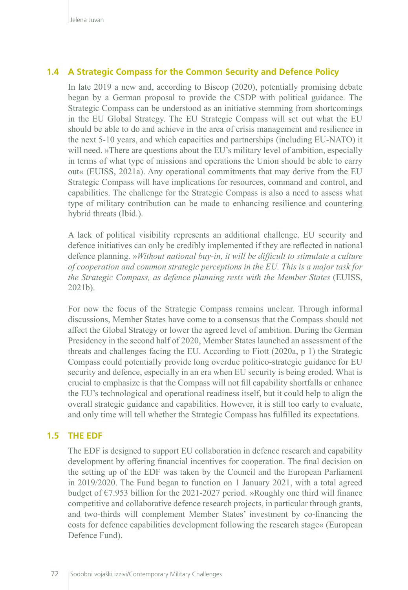## **1.4 A Strategic Compass for the Common Security and Defence Policy**

In late 2019 a new and, according to Biscop (2020), potentially promising debate began by a German proposal to provide the CSDP with political guidance. The Strategic Compass can be understood as an initiative stemming from shortcomings in the EU Global Strategy. The EU Strategic Compass will set out what the EU should be able to do and achieve in the area of crisis management and resilience in the next 5-10 years, and which capacities and partnerships (including EU-NATO) it will need. »There are questions about the EU's military level of ambition, especially in terms of what type of missions and operations the Union should be able to carry out« (EUISS, 2021a). Any operational commitments that may derive from the EU Strategic Compass will have implications for resources, command and control, and capabilities. The challenge for the Strategic Compass is also a need to assess what type of military contribution can be made to enhancing resilience and countering hybrid threats (Ibid.).

A lack of political visibility represents an additional challenge. EU security and defence initiatives can only be credibly implemented if they are reflected in national defence planning. »*Without national buy-in, it will be difficult to stimulate a culture of cooperation and common strategic perceptions in the EU. This is a major task for the Strategic Compass, as defence planning rests with the Member States* (EUISS, 2021b).

For now the focus of the Strategic Compass remains unclear. Through informal discussions, Member States have come to a consensus that the Compass should not affect the Global Strategy or lower the agreed level of ambition. During the German Presidency in the second half of 2020, Member States launched an assessment of the threats and challenges facing the EU. According to Fiott (2020a, p 1) the Strategic Compass could potentially provide long overdue politico-strategic guidance for EU security and defence, especially in an era when EU security is being eroded. What is crucial to emphasize is that the Compass will not fill capability shortfalls or enhance the EU's technological and operational readiness itself, but it could help to align the overall strategic guidance and capabilities. However, it is still too early to evaluate, and only time will tell whether the Strategic Compass has fulfilled its expectations.

### **1.5 THE EDF**

The EDF is designed to support EU collaboration in defence research and capability development by offering financial incentives for cooperation. The final decision on the setting up of the EDF was taken by the Council and the European Parliament in 2019/2020. The Fund began to function on 1 January 2021, with a total agreed budget of  $\epsilon$ 7.953 billion for the 2021-2027 period. »Roughly one third will finance competitive and collaborative defence research projects, in particular through grants, and two-thirds will complement Member States' investment by co-financing the costs for defence capabilities development following the research stage« (European Defence Fund).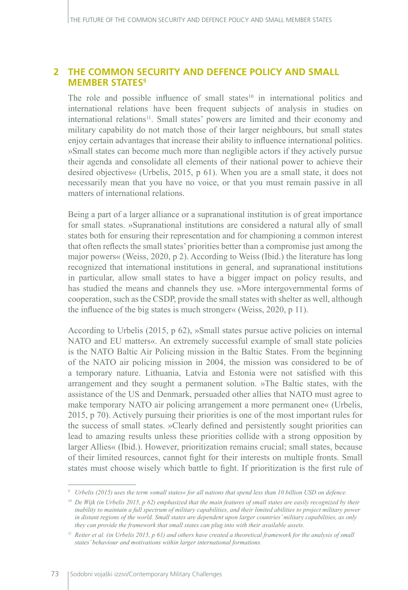## **2 THE COMMON SECURITY AND DEFENCE POLICY AND SMALL MEMBER STATES9**

The role and possible influence of small states $10$  in international politics and international relations have been frequent subjects of analysis in studies on international relations11. Small states' powers are limited and their economy and military capability do not match those of their larger neighbours, but small states enjoy certain advantages that increase their ability to influence international politics. »Small states can become much more than negligible actors if they actively pursue their agenda and consolidate all elements of their national power to achieve their desired objectives« (Urbelis, 2015, p 61). When you are a small state, it does not necessarily mean that you have no voice, or that you must remain passive in all matters of international relations.

Being a part of a larger alliance or a supranational institution is of great importance for small states. »Supranational institutions are considered a natural ally of small states both for ensuring their representation and for championing a common interest that often reflects the small states' priorities better than a compromise just among the major powers« (Weiss, 2020, p 2). According to Weiss (Ibid.) the literature has long recognized that international institutions in general, and supranational institutions in particular, allow small states to have a bigger impact on policy results, and has studied the means and channels they use. »More intergovernmental forms of cooperation, such as the CSDP, provide the small states with shelter as well, although the influence of the big states is much stronger« (Weiss, 2020, p 11).

According to Urbelis (2015, p 62), »Small states pursue active policies on internal NATO and EU matters«. An extremely successful example of small state policies is the NATO Baltic Air Policing mission in the Baltic States. From the beginning of the NATO air policing mission in 2004, the mission was considered to be of a temporary nature. Lithuania, Latvia and Estonia were not satisfied with this arrangement and they sought a permanent solution. »The Baltic states, with the assistance of the US and Denmark, persuaded other allies that NATO must agree to make temporary NATO air policing arrangement a more permanent one« (Urbelis, 2015, p 70). Actively pursuing their priorities is one of the most important rules for the success of small states. »Clearly defined and persistently sought priorities can lead to amazing results unless these priorities collide with a strong opposition by larger Allies« (Ibid.). However, prioritization remains crucial; small states, because of their limited resources, cannot fight for their interests on multiple fronts. Small states must choose wisely which battle to fight. If prioritization is the first rule of

*<sup>9</sup> Urbelis (2015) uses the term »small states« for all nations that spend less than 10 billion USD on defence.* 

*<sup>10</sup> De Wijk (in Urbelis 2015, p 62) emphasized that the main features of small states are easily recognized by their inability to maintain a full spectrum of military capabilities, and their limited abilities to project military power in distant regions of the world. Small states are dependent upon larger countries' military capabilities, as only they can provide the framework that small states can plug into with their available assets.*

*<sup>11</sup> Reiter et al. (in Urbelis 2015, p 61) and others have created a theoretical framework for the analysis of small states' behaviour and motivations within larger international formations.*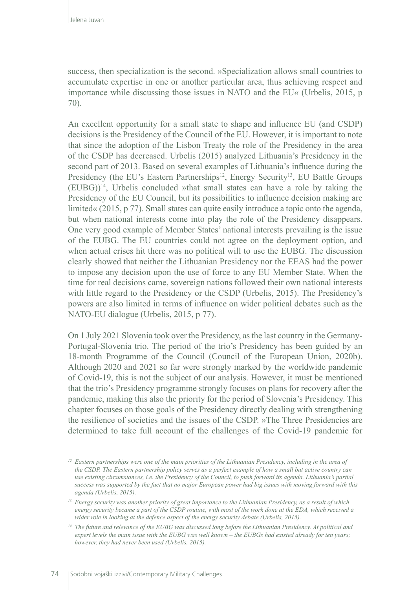success, then specialization is the second. »Specialization allows small countries to accumulate expertise in one or another particular area, thus achieving respect and importance while discussing those issues in NATO and the EU« (Urbelis, 2015, p 70).

An excellent opportunity for a small state to shape and influence EU (and CSDP) decisions is the Presidency of the Council of the EU. However, it is important to note that since the adoption of the Lisbon Treaty the role of the Presidency in the area of the CSDP has decreased. Urbelis (2015) analyzed Lithuania's Presidency in the second part of 2013. Based on several examples of Lithuania's influence during the Presidency (the EU's Eastern Partnerships<sup>12</sup>, Energy Security<sup>13</sup>, EU Battle Groups  $(EUBG))$ <sup>14</sup>, Urbelis concluded »that small states can have a role by taking the Presidency of the EU Council, but its possibilities to influence decision making are limited« (2015, p 77). Small states can quite easily introduce a topic onto the agenda, but when national interests come into play the role of the Presidency disappears. One very good example of Member States' national interests prevailing is the issue of the EUBG. The EU countries could not agree on the deployment option, and when actual crises hit there was no political will to use the EUBG. The discussion clearly showed that neither the Lithuanian Presidency nor the EEAS had the power to impose any decision upon the use of force to any EU Member State. When the time for real decisions came, sovereign nations followed their own national interests with little regard to the Presidency or the CSDP (Urbelis, 2015). The Presidency's powers are also limited in terms of influence on wider political debates such as the NATO-EU dialogue (Urbelis, 2015, p 77).

On 1 July 2021 Slovenia took over the Presidency, as the last country in the Germany-Portugal-Slovenia trio. The period of the trio's Presidency has been guided by an 18-month Programme of the Council (Council of the European Union, 2020b). Although 2020 and 2021 so far were strongly marked by the worldwide pandemic of Covid-19, this is not the subject of our analysis. However, it must be mentioned that the trio's Presidency programme strongly focuses on plans for recovery after the pandemic, making this also the priority for the period of Slovenia's Presidency. This chapter focuses on those goals of the Presidency directly dealing with strengthening the resilience of societies and the issues of the CSDP. »The Three Presidencies are determined to take full account of the challenges of the Covid-19 pandemic for

*<sup>12</sup> Eastern partnerships were one of the main priorities of the Lithuanian Presidency, including in the area of the CSDP. The Eastern partnership policy serves as a perfect example of how a small but active country can use existing circumstances, i.e. the Presidency of the Council, to push forward its agenda. Lithuania's partial success was supported by the fact that no major European power had big issues with moving forward with this agenda (Urbelis, 2015).*

*<sup>13</sup> Energy security was another priority of great importance to the Lithuanian Presidency, as a result of which energy security became a part of the CSDP routine, with most of the work done at the EDA, which received a wider role in looking at the defence aspect of the energy security debate (Urbelis, 2015).*

*<sup>14</sup> The future and relevance of the EUBG was discussed long before the Lithuanian Presidency. At political and expert levels the main issue with the EUBG was well known – the EUBGs had existed already for ten years; however, they had never been used (Urbelis, 2015).*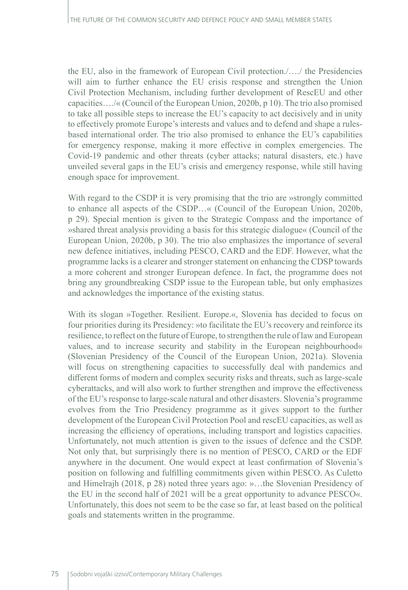the EU, also in the framework of European Civil protection./…./ the Presidencies will aim to further enhance the EU crisis response and strengthen the Union Civil Protection Mechanism, including further development of RescEU and other capacities…./« (Council of the European Union, 2020b, p 10). The trio also promised to take all possible steps to increase the EU's capacity to act decisively and in unity to effectively promote Europe's interests and values and to defend and shape a rulesbased international order. The trio also promised to enhance the EU's capabilities for emergency response, making it more effective in complex emergencies. The Covid-19 pandemic and other threats (cyber attacks; natural disasters, etc.) have unveiled several gaps in the EU's crisis and emergency response, while still having enough space for improvement.

With regard to the CSDP it is very promising that the trio are »strongly committed to enhance all aspects of the CSDP…« (Council of the European Union, 2020b, p 29). Special mention is given to the Strategic Compass and the importance of »shared threat analysis providing a basis for this strategic dialogue« (Council of the European Union, 2020b, p 30). The trio also emphasizes the importance of several new defence initiatives, including PESCO, CARD and the EDF. However, what the programme lacks is a clearer and stronger statement on enhancing the CDSP towards a more coherent and stronger European defence. In fact, the programme does not bring any groundbreaking CSDP issue to the European table, but only emphasizes and acknowledges the importance of the existing status.

With its slogan »Together. Resilient. Europe.«, Slovenia has decided to focus on four priorities during its Presidency: »to facilitate the EU's recovery and reinforce its resilience, to reflect on the future of Europe, to strengthen the rule of law and European values, and to increase security and stability in the European neighbourhood« (Slovenian Presidency of the Council of the European Union, 2021a). Slovenia will focus on strengthening capacities to successfully deal with pandemics and different forms of modern and complex security risks and threats, such as large-scale cyberattacks, and will also work to further strengthen and improve the effectiveness of the EU's response to large-scale natural and other disasters. Slovenia's programme evolves from the Trio Presidency programme as it gives support to the further development of the European Civil Protection Pool and rescEU capacities, as well as increasing the efficiency of operations, including transport and logistics capacities. Unfortunately, not much attention is given to the issues of defence and the CSDP. Not only that, but surprisingly there is no mention of PESCO, CARD or the EDF anywhere in the document. One would expect at least confirmation of Slovenia's position on following and fulfilling commitments given within PESCO. As Culetto and Himelrajh (2018, p 28) noted three years ago: »…the Slovenian Presidency of the EU in the second half of 2021 will be a great opportunity to advance PESCO«. Unfortunately, this does not seem to be the case so far, at least based on the political goals and statements written in the programme.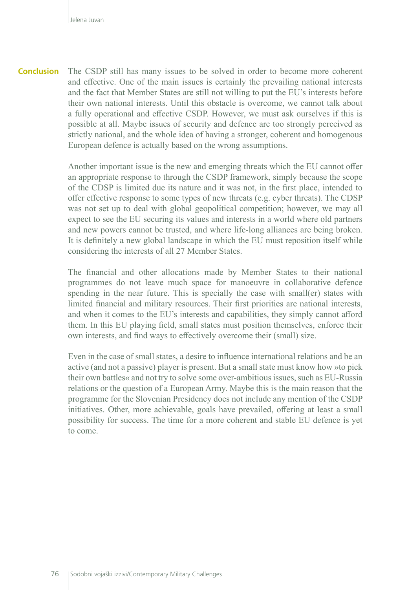**Conclusion** The CSDP still has many issues to be solved in order to become more coherent and effective. One of the main issues is certainly the prevailing national interests and the fact that Member States are still not willing to put the EU's interests before their own national interests. Until this obstacle is overcome, we cannot talk about a fully operational and effective CSDP. However, we must ask ourselves if this is possible at all. Maybe issues of security and defence are too strongly perceived as strictly national, and the whole idea of having a stronger, coherent and homogenous European defence is actually based on the wrong assumptions.

> Another important issue is the new and emerging threats which the EU cannot offer an appropriate response to through the CSDP framework, simply because the scope of the CDSP is limited due its nature and it was not, in the first place, intended to offer effective response to some types of new threats (e.g. cyber threats). The CDSP was not set up to deal with global geopolitical competition; however, we may all expect to see the EU securing its values and interests in a world where old partners and new powers cannot be trusted, and where life-long alliances are being broken. It is definitely a new global landscape in which the EU must reposition itself while considering the interests of all 27 Member States.

> The financial and other allocations made by Member States to their national programmes do not leave much space for manoeuvre in collaborative defence spending in the near future. This is specially the case with small(er) states with limited financial and military resources. Their first priorities are national interests, and when it comes to the EU's interests and capabilities, they simply cannot afford them. In this EU playing field, small states must position themselves, enforce their own interests, and find ways to effectively overcome their (small) size.

> Even in the case of small states, a desire to influence international relations and be an active (and not a passive) player is present. But a small state must know how »to pick their own battles« and not try to solve some over-ambitious issues, such as EU-Russia relations or the question of a European Army. Maybe this is the main reason that the programme for the Slovenian Presidency does not include any mention of the CSDP initiatives. Other, more achievable, goals have prevailed, offering at least a small possibility for success. The time for a more coherent and stable EU defence is yet to come.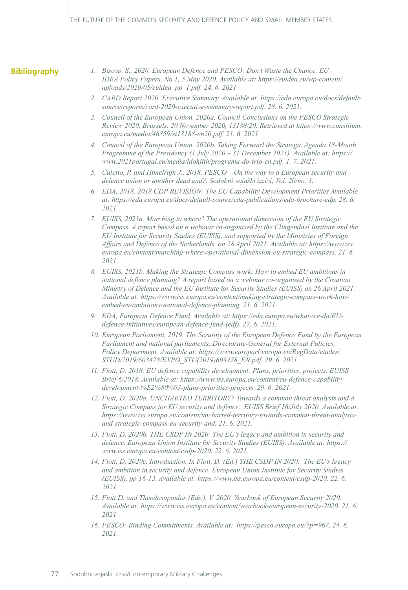#### **Bibliography**

- *1. Biscop, S., 2020. European Defence and PESCO: Don't Waste the Chance. EU IDEA Policy Papers, No.1, 5 May 2020. Available at: [https://euidea.eu/wp-content/](https://euidea.eu/wp-content/uploads/2020/05/euidea_pp_1.pdf.%2024.%206) [uploads/2020/05/euidea\\_pp\\_1.pdf. 24. 6](https://euidea.eu/wp-content/uploads/2020/05/euidea_pp_1.pdf.%2024.%206). 2021*
- *2. CARD Report 2020. Executive Summary. Available at: [https://eda.europa.eu/docs/default](https://eda.europa.eu/docs/default-source/reports/card-2020-executive-summary-report.pdf.%2028)[source/reports/card-2020-executive-summary-report.pdf. 28.](https://eda.europa.eu/docs/default-source/reports/card-2020-executive-summary-report.pdf.%2028) 6. 2021.*
- *3. Council of the European Union. 2020a. Council Conclusions on the PESCO Strategic Review 2020, Brussels, 20 November 2020, 13188/20. Retrieved at [https://www.consilium.](https://www.consilium.europa.eu/media/46859/st13188-en20.pdf.%2021.%206) [europa.eu/media/46859/st13188-en20.pdf. 21. 6.](https://www.consilium.europa.eu/media/46859/st13188-en20.pdf.%2021.%206) 2021.*
- *4. Council of the European Union. 2020b. Taking Forward the Strategic Agenda 18-Month Programme of the Presidency (1 July 2020 – 31 December 2021). Available at: [https://](https://www.2021portugal.eu/media/ldohjith/programa-do-trio-en.pdf.%201.%207) [www.2021portugal.eu/media/ldohjith/programa-do-trio-en.pdf. 1. 7](https://www.2021portugal.eu/media/ldohjith/programa-do-trio-en.pdf.%201.%207). 2021.*
- *5. Culetto, P. and Himelrajh J., 2018. PESCO On the way to a European security and defence union or another dead end?. Sodobni vojaški izzivi, Vol. 20/no. 3.*
- *6. EDA, 2018. 2018 CDP REVISION: The EU Capability Development Priorities Available at: [https://eda.europa.eu/docs/default-source/eda-publications/eda-brochure-cdp. 28. 6](https://eda.europa.eu/docs/default-source/eda-publications/eda-brochure-cdp.%2028.%206). 2021.*
- *7. EUISS, 2021a. Marching to where? The operational dimension of the EU Strategic Compass. A report based on a webinar co-organised by the Clingendael Institute and the EU Institute for Security Studies (EUISS), and supported by the Ministries of Foreign Affairs and Defence of the Netherlands, on 28 April 2021. Available at: [https://www.iss.](https://www.iss.europa.eu/content/marching-where-operational-dimension-eu-strategic-compass.%2021.%206) [europa.eu/content/marching-where-operational-dimension-eu-strategic-compass. 21. 6](https://www.iss.europa.eu/content/marching-where-operational-dimension-eu-strategic-compass.%2021.%206). 2021.*
- *8. EUISS, 2021b. Making the Strategic Compass work: How to embed EU ambitions in national defence planning? A report based on a webinar co-organised by the Croatian Ministry of Defence and the EU Institute for Security Studies (EUISS) on 26 April 2021. Available at: [https://www.iss.europa.eu/content/making-strategic-compass-work-how](https://www.iss.europa.eu/content/making-strategic-compass-work-how-embed-eu-ambitions-national-defence-planning.%2021.%206.%202021)[embed-eu-ambitions-national-defence-planning. 21. 6. 2021](https://www.iss.europa.eu/content/making-strategic-compass-work-how-embed-eu-ambitions-national-defence-planning.%2021.%206.%202021).*
- *9. EDA, European Defence Fund. Available at: [https://eda.europa.eu/what-we-do/EU](https://eda.europa.eu/what-we-do/EU-defence-initiatives/european-defence-fund-(edf))[defence-initiatives/european-defence-fund-\(edf\)](https://eda.europa.eu/what-we-do/EU-defence-initiatives/european-defence-fund-(edf)). 27. 6. 2021.*
- *10. European Parliament, 2019. The Scrutiny of the European Defence Fund by the European Parliament and national parliaments. Directorate-General for External Policies, Policy Department. Available at: [https://www.europarl.europa.eu/RegData/etudes/](https://www.europarl.europa.eu/RegData/etudes/STUD/2019/603478/EXPO_STU(2019)603478_EN.pdf) [STUD/2019/603478/EXPO\\_STU\(2019\)603478\\_EN.pdf.](https://www.europarl.europa.eu/RegData/etudes/STUD/2019/603478/EXPO_STU(2019)603478_EN.pdf) 29. 6. 2021.*
- *11. Fiott, D. 2018. EU defence capability development: Plans, priorities, projects. EUISS Brief 6/2018. Available at: [https://www.iss.europa.eu/content/eu-defence-capability](https://www.iss.europa.eu/content/eu-defence-capability-development-%E2%80%93-plans-priorities-projects)[development-%E2%80%93-plans-priorities-projects](https://www.iss.europa.eu/content/eu-defence-capability-development-%E2%80%93-plans-priorities-projects). 29. 6. 2021.*
- *12. Fiott, D. 2020a. UNCHARTED TERRITORY? Towards a common threat analysis and a Strategic Compass for EU security and defence. EUISS Brief 16/July 2020. Available at: [https://www.iss.europa.eu/content/uncharted-territory-towards-common-threat-analysis](https://www.iss.europa.eu/content/uncharted-territory-towards-common-threat-analysis-and-strategic-compass-eu-security-and.%2021.%206)[and-strategic-compass-eu-security-and. 21. 6.](https://www.iss.europa.eu/content/uncharted-territory-towards-common-threat-analysis-and-strategic-compass-eu-security-and.%2021.%206) 2021.*
- *13. Fiott, D. 2020b. THE CSDP IN 2020: The EU's legacy and ambition in security and defence. European Union Institute for Security Studies (EUISS). Available at: [https://](https://www.iss.europa.eu/content/csdp-2020.%2022.%206) [www.iss.europa.eu/content/csdp-2020. 22. 6](https://www.iss.europa.eu/content/csdp-2020.%2022.%206). 2021.*
- *14. Fiott, D. 2020c. Introduction. In Fiott, D. (Ed.) THE CSDP IN 2020: The EU's legacy and ambition in security and defence. European Union Institute for Security Studies (EUISS), pp 16-13. Available at: [https://www.iss.europa.eu/content/csdp-2020. 22. 6](https://www.iss.europa.eu/content/csdp-2020.%2022.%206). 2021.*
- *15. Fiott D. and Theodosopoulos (Eds.), V. 2020. Yearbook of European Security 2020. Available at: [https://www.iss.europa.eu/content/yearbook-european-security-2020. 21. 6](https://www.iss.europa.eu/content/yearbook-european-security-2020.%2021.%206). 2021.*
- *16. PESCO: Binding Commitments. Available at: <https://pesco.europa.eu/?p=967>, 24. 6. 2021.*